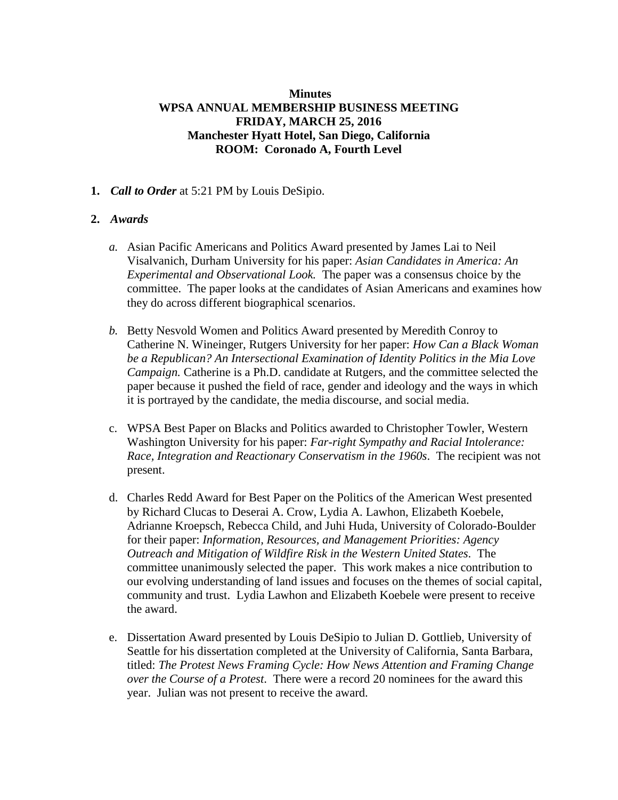# **Minutes WPSA ANNUAL MEMBERSHIP BUSINESS MEETING FRIDAY, MARCH 25, 2016 Manchester Hyatt Hotel, San Diego, California ROOM: Coronado A, Fourth Level**

**1.** *Call to Order* at 5:21 PM by Louis DeSipio.

# **2.** *Awards*

- *a.* Asian Pacific Americans and Politics Award presented by James Lai to Neil Visalvanich, Durham University for his paper: *Asian Candidates in America: An Experimental and Observational Look.* The paper was a consensus choice by the committee. The paper looks at the candidates of Asian Americans and examines how they do across different biographical scenarios.
- *b.* Betty Nesvold Women and Politics Award presented by Meredith Conroy to Catherine N. Wineinger, Rutgers University for her paper: *How Can a Black Woman be a Republican? An Intersectional Examination of Identity Politics in the Mia Love Campaign.* Catherine is a Ph.D. candidate at Rutgers, and the committee selected the paper because it pushed the field of race, gender and ideology and the ways in which it is portrayed by the candidate, the media discourse, and social media.
- c. WPSA Best Paper on Blacks and Politics awarded to Christopher Towler, Western Washington University for his paper: *Far-right Sympathy and Racial Intolerance: Race, Integration and Reactionary Conservatism in the 1960s*. The recipient was not present.
- d. Charles Redd Award for Best Paper on the Politics of the American West presented by Richard Clucas to Deserai A. Crow, Lydia A. Lawhon, Elizabeth Koebele, Adrianne Kroepsch, Rebecca Child, and Juhi Huda, University of Colorado-Boulder for their paper: *Information, Resources, and Management Priorities: Agency Outreach and Mitigation of Wildfire Risk in the Western United States*. The committee unanimously selected the paper. This work makes a nice contribution to our evolving understanding of land issues and focuses on the themes of social capital, community and trust. Lydia Lawhon and Elizabeth Koebele were present to receive the award.
- e. Dissertation Award presented by Louis DeSipio to Julian D. Gottlieb, University of Seattle for his dissertation completed at the University of California, Santa Barbara, titled: *The Protest News Framing Cycle: How News Attention and Framing Change over the Course of a Protest*. There were a record 20 nominees for the award this year. Julian was not present to receive the award.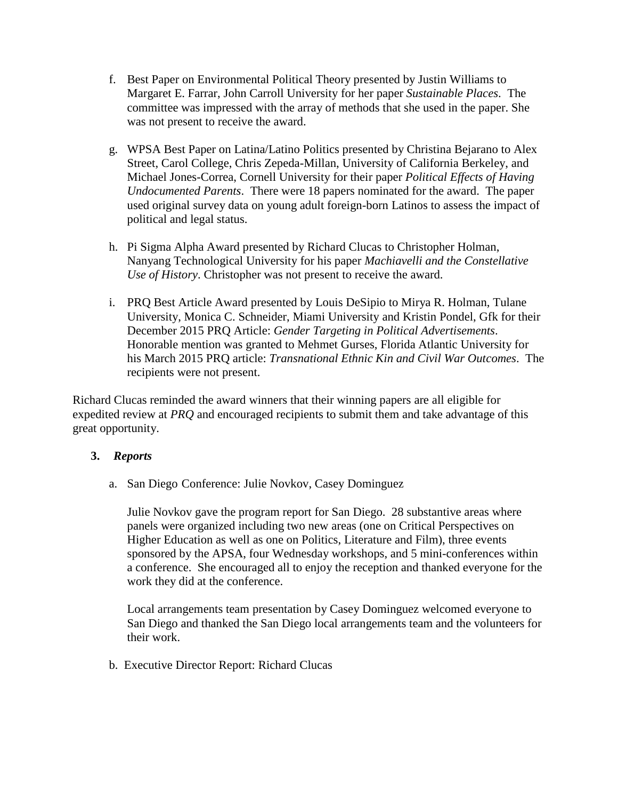- f. Best Paper on Environmental Political Theory presented by Justin Williams to Margaret E. Farrar, John Carroll University for her paper *Sustainable Places*. The committee was impressed with the array of methods that she used in the paper. She was not present to receive the award.
- g. WPSA Best Paper on Latina/Latino Politics presented by Christina Bejarano to Alex Street, Carol College, Chris Zepeda-Millan, University of California Berkeley, and Michael Jones-Correa, Cornell University for their paper *Political Effects of Having Undocumented Parents*. There were 18 papers nominated for the award. The paper used original survey data on young adult foreign-born Latinos to assess the impact of political and legal status.
- h. Pi Sigma Alpha Award presented by Richard Clucas to Christopher Holman, Nanyang Technological University for his paper *Machiavelli and the Constellative Use of History*. Christopher was not present to receive the award.
- i. PRQ Best Article Award presented by Louis DeSipio to Mirya R. Holman, Tulane University, Monica C. Schneider, Miami University and Kristin Pondel, Gfk for their December 2015 PRQ Article: *Gender Targeting in Political Advertisements*. Honorable mention was granted to Mehmet Gurses, Florida Atlantic University for his March 2015 PRQ article: *Transnational Ethnic Kin and Civil War Outcomes*. The recipients were not present.

Richard Clucas reminded the award winners that their winning papers are all eligible for expedited review at *PRQ* and encouraged recipients to submit them and take advantage of this great opportunity.

# **3.** *Reports*

a. San Diego Conference: Julie Novkov, Casey Dominguez

Julie Novkov gave the program report for San Diego. 28 substantive areas where panels were organized including two new areas (one on Critical Perspectives on Higher Education as well as one on Politics, Literature and Film), three events sponsored by the APSA, four Wednesday workshops, and 5 mini-conferences within a conference. She encouraged all to enjoy the reception and thanked everyone for the work they did at the conference.

Local arrangements team presentation by Casey Dominguez welcomed everyone to San Diego and thanked the San Diego local arrangements team and the volunteers for their work.

b. Executive Director Report: Richard Clucas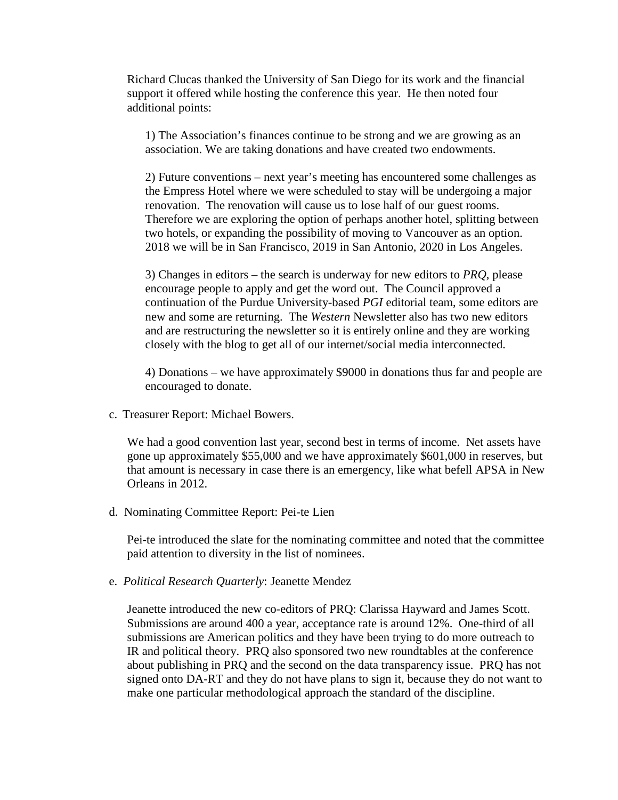Richard Clucas thanked the University of San Diego for its work and the financial support it offered while hosting the conference this year. He then noted four additional points:

1) The Association's finances continue to be strong and we are growing as an association. We are taking donations and have created two endowments.

2) Future conventions – next year's meeting has encountered some challenges as the Empress Hotel where we were scheduled to stay will be undergoing a major renovation. The renovation will cause us to lose half of our guest rooms. Therefore we are exploring the option of perhaps another hotel, splitting between two hotels, or expanding the possibility of moving to Vancouver as an option. 2018 we will be in San Francisco, 2019 in San Antonio, 2020 in Los Angeles.

3) Changes in editors – the search is underway for new editors to *PRQ*, please encourage people to apply and get the word out. The Council approved a continuation of the Purdue University-based *PGI* editorial team, some editors are new and some are returning. The *Western* Newsletter also has two new editors and are restructuring the newsletter so it is entirely online and they are working closely with the blog to get all of our internet/social media interconnected.

4) Donations – we have approximately \$9000 in donations thus far and people are encouraged to donate.

c. Treasurer Report: Michael Bowers.

We had a good convention last year, second best in terms of income. Net assets have gone up approximately \$55,000 and we have approximately \$601,000 in reserves, but that amount is necessary in case there is an emergency, like what befell APSA in New Orleans in 2012.

d. Nominating Committee Report: Pei-te Lien

Pei-te introduced the slate for the nominating committee and noted that the committee paid attention to diversity in the list of nominees.

e. *Political Research Quarterly*: Jeanette Mendez

Jeanette introduced the new co-editors of PRQ: Clarissa Hayward and James Scott. Submissions are around 400 a year, acceptance rate is around 12%. One-third of all submissions are American politics and they have been trying to do more outreach to IR and political theory. PRQ also sponsored two new roundtables at the conference about publishing in PRQ and the second on the data transparency issue. PRQ has not signed onto DA-RT and they do not have plans to sign it, because they do not want to make one particular methodological approach the standard of the discipline.